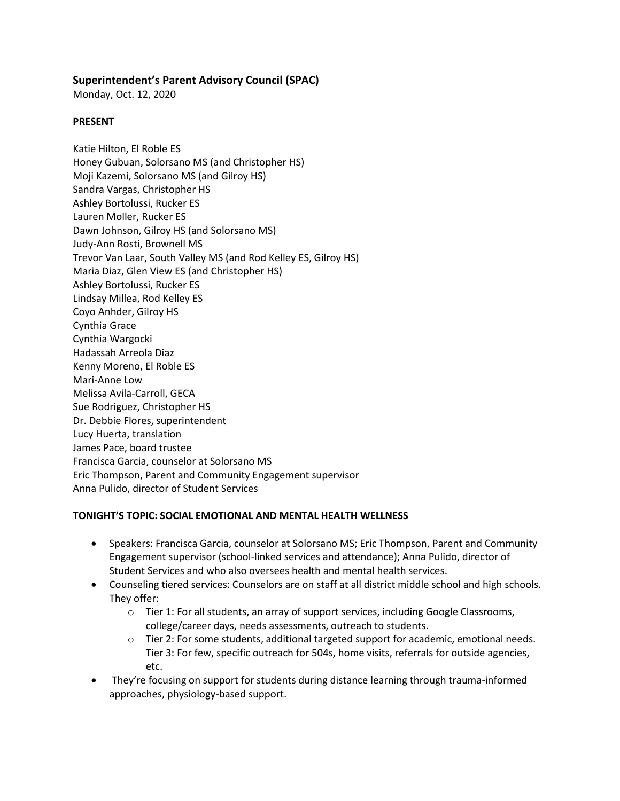# **Superintendent's Parent Advisory Council (SPAC)**

Monday, Oct. 12, 2020

#### **PRESENT**

Katie Hilton, El Roble ES Honey Gubuan, Solorsano MS (and Christopher HS) Moji Kazemi, Solorsano MS (and Gilroy HS) Sandra Vargas, Christopher HS Ashley Bortolussi, Rucker ES Lauren Moller, Rucker ES Dawn Johnson, Gilroy HS (and Solorsano MS) Judy-Ann Rosti, Brownell MS Trevor Van Laar, South Valley MS (and Rod Kelley ES, Gilroy HS) Maria Diaz, Glen View ES (and Christopher HS) Ashley Bortolussi, Rucker ES Lindsay Millea, Rod Kelley ES Coyo Anhder, Gilroy HS Cynthia Grace Cynthia Wargocki Hadassah Arreola Diaz Kenny Moreno, El Roble ES Mari-Anne Low Melissa Avila-Carroll, GECA Sue Rodriguez, Christopher HS Dr. Debbie Flores, superintendent Lucy Huerta, translation James Pace, board trustee Francisca Garcia, counselor at Solorsano MS Eric Thompson, Parent and Community Engagement supervisor Anna Pulido, director of Student Services

#### **TONIGHT'S TOPIC: SOCIAL EMOTIONAL AND MENTAL HEALTH WELLNESS**

- Speakers: Francisca Garcia, counselor at Solorsano MS; Eric Thompson, Parent and Community Engagement supervisor (school-linked services and attendance); Anna Pulido, director of Student Services and who also oversees health and mental health services.
- Counseling tiered services: Counselors are on staff at all district middle school and high schools. They offer:
	- o Tier 1: For all students, an array of support services, including Google Classrooms, college/career days, needs assessments, outreach to students.
	- $\circ$  Tier 2: For some students, additional targeted support for academic, emotional needs. Tier 3: For few, specific outreach for 504s, home visits, referrals for outside agencies, etc.
- They're focusing on support for students during distance learning through trauma-informed approaches, physiology-based support.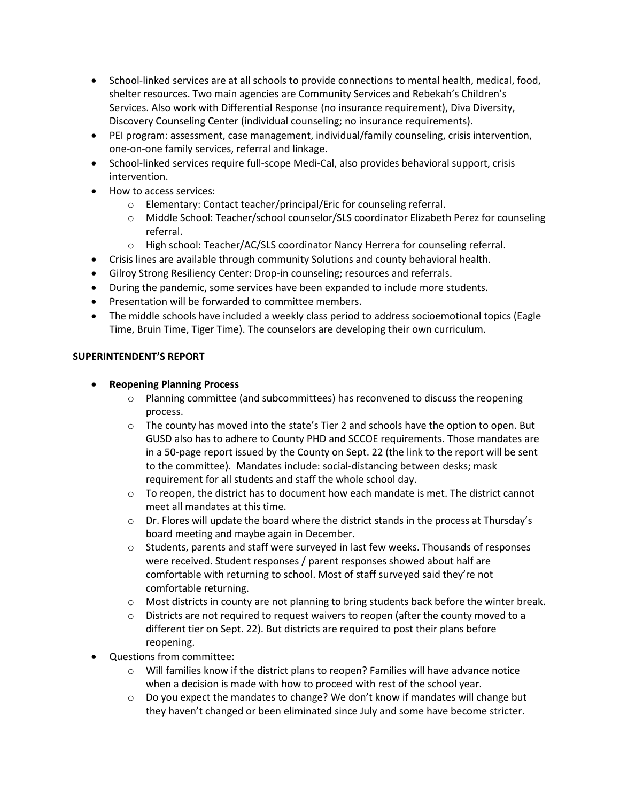- School-linked services are at all schools to provide connections to mental health, medical, food, shelter resources. Two main agencies are Community Services and Rebekah's Children's Services. Also work with Differential Response (no insurance requirement), Diva Diversity, Discovery Counseling Center (individual counseling; no insurance requirements).
- PEI program: assessment, case management, individual/family counseling, crisis intervention, one-on-one family services, referral and linkage.
- School-linked services require full-scope Medi-Cal, also provides behavioral support, crisis intervention.
- How to access services:
	- o Elementary: Contact teacher/principal/Eric for counseling referral.
	- o Middle School: Teacher/school counselor/SLS coordinator Elizabeth Perez for counseling referral.
	- o High school: Teacher/AC/SLS coordinator Nancy Herrera for counseling referral.
- Crisis lines are available through community Solutions and county behavioral health.
- Gilroy Strong Resiliency Center: Drop-in counseling; resources and referrals.
- During the pandemic, some services have been expanded to include more students.
- Presentation will be forwarded to committee members.
- The middle schools have included a weekly class period to address socioemotional topics (Eagle Time, Bruin Time, Tiger Time). The counselors are developing their own curriculum.

# **SUPERINTENDENT'S REPORT**

- **Reopening Planning Process** 
	- o Planning committee (and subcommittees) has reconvened to discuss the reopening process.
	- $\circ$  The county has moved into the state's Tier 2 and schools have the option to open. But GUSD also has to adhere to County PHD and SCCOE requirements. Those mandates are in a 50-page report issued by the County on Sept. 22 (the link to the report will be sent to the committee). Mandates include: social-distancing between desks; mask requirement for all students and staff the whole school day.
	- $\circ$  To reopen, the district has to document how each mandate is met. The district cannot meet all mandates at this time.
	- $\circ$  Dr. Flores will update the board where the district stands in the process at Thursday's board meeting and maybe again in December.
	- $\circ$  Students, parents and staff were surveyed in last few weeks. Thousands of responses were received. Student responses / parent responses showed about half are comfortable with returning to school. Most of staff surveyed said they're not comfortable returning.
	- $\circ$  Most districts in county are not planning to bring students back before the winter break.
	- $\circ$  Districts are not required to request waivers to reopen (after the county moved to a different tier on Sept. 22). But districts are required to post their plans before reopening.
- Questions from committee:
	- $\circ$  Will families know if the district plans to reopen? Families will have advance notice when a decision is made with how to proceed with rest of the school year.
	- $\circ$  Do you expect the mandates to change? We don't know if mandates will change but they haven't changed or been eliminated since July and some have become stricter.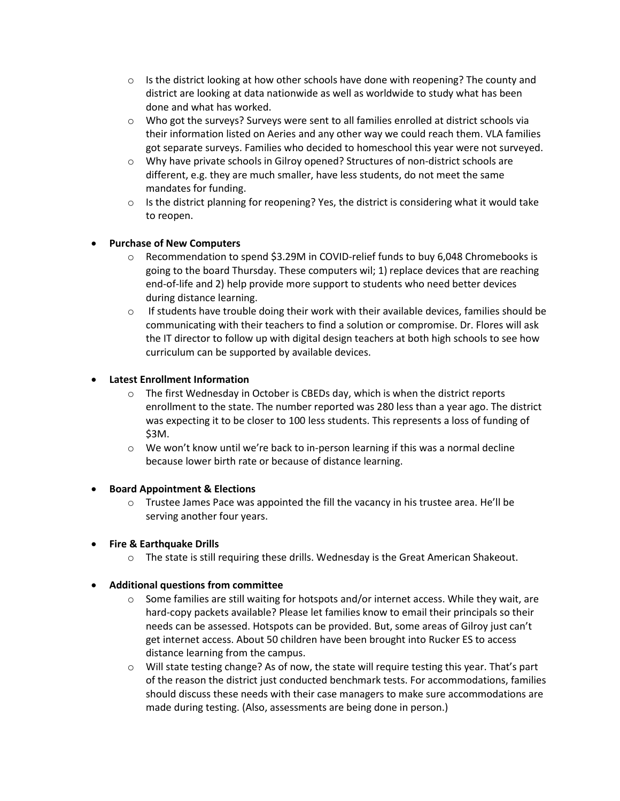- $\circ$  Is the district looking at how other schools have done with reopening? The county and district are looking at data nationwide as well as worldwide to study what has been done and what has worked.
- $\circ$  Who got the surveys? Surveys were sent to all families enrolled at district schools via their information listed on Aeries and any other way we could reach them. VLA families got separate surveys. Families who decided to homeschool this year were not surveyed.
- o Why have private schools in Gilroy opened? Structures of non-district schools are different, e.g. they are much smaller, have less students, do not meet the same mandates for funding.
- $\circ$  Is the district planning for reopening? Yes, the district is considering what it would take to reopen.

# **Purchase of New Computers**

- o Recommendation to spend \$3.29M in COVID-relief funds to buy 6,048 Chromebooks is going to the board Thursday. These computers wil; 1) replace devices that are reaching end-of-life and 2) help provide more support to students who need better devices during distance learning.
- $\circ$  If students have trouble doing their work with their available devices, families should be communicating with their teachers to find a solution or compromise. Dr. Flores will ask the IT director to follow up with digital design teachers at both high schools to see how curriculum can be supported by available devices.

### **Latest Enrollment Information**

- o The first Wednesday in October is CBEDs day, which is when the district reports enrollment to the state. The number reported was 280 less than a year ago. The district was expecting it to be closer to 100 less students. This represents a loss of funding of \$3M.
- $\circ$  We won't know until we're back to in-person learning if this was a normal decline because lower birth rate or because of distance learning.

#### **Board Appointment & Elections**

 $\circ$  Trustee James Pace was appointed the fill the vacancy in his trustee area. He'll be serving another four years.

# **Fire & Earthquake Drills**

 $\circ$  The state is still requiring these drills. Wednesday is the Great American Shakeout.

#### **Additional questions from committee**

- $\circ$  Some families are still waiting for hotspots and/or internet access. While they wait, are hard-copy packets available? Please let families know to email their principals so their needs can be assessed. Hotspots can be provided. But, some areas of Gilroy just can't get internet access. About 50 children have been brought into Rucker ES to access distance learning from the campus.
- o Will state testing change? As of now, the state will require testing this year. That's part of the reason the district just conducted benchmark tests. For accommodations, families should discuss these needs with their case managers to make sure accommodations are made during testing. (Also, assessments are being done in person.)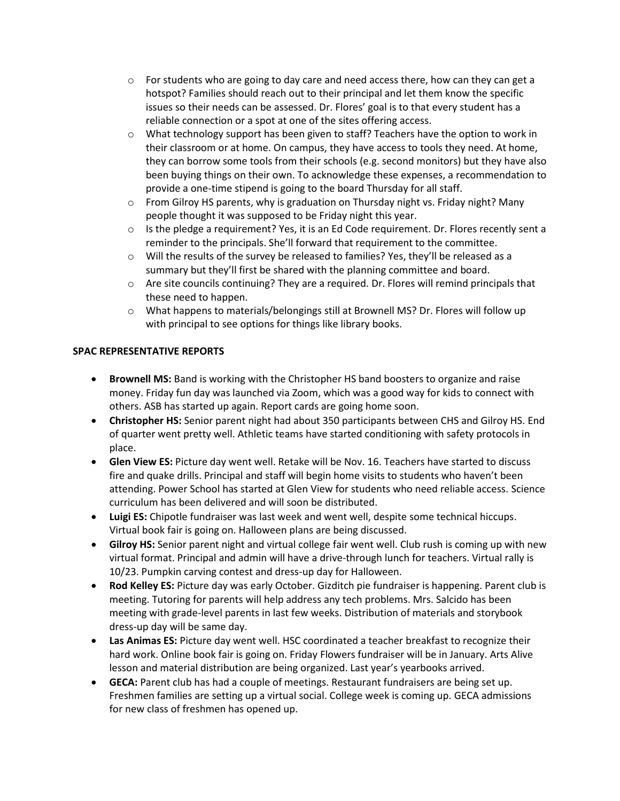- $\circ$  For students who are going to day care and need access there, how can they can get a hotspot? Families should reach out to their principal and let them know the specific issues so their needs can be assessed. Dr. Flores' goal is to that every student has a reliable connection or a spot at one of the sites offering access.
- $\circ$  What technology support has been given to staff? Teachers have the option to work in their classroom or at home. On campus, they have access to tools they need. At home, they can borrow some tools from their schools (e.g. second monitors) but they have also been buying things on their own. To acknowledge these expenses, a recommendation to provide a one-time stipend is going to the board Thursday for all staff.
- $\circ$  From Gilroy HS parents, why is graduation on Thursday night vs. Friday night? Many people thought it was supposed to be Friday night this year.
- $\circ$  Is the pledge a requirement? Yes, it is an Ed Code requirement. Dr. Flores recently sent a reminder to the principals. She'll forward that requirement to the committee.
- $\circ$  Will the results of the survey be released to families? Yes, they'll be released as a summary but they'll first be shared with the planning committee and board.
- o Are site councils continuing? They are a required. Dr. Flores will remind principals that these need to happen.
- o What happens to materials/belongings still at Brownell MS? Dr. Flores will follow up with principal to see options for things like library books.

### **SPAC REPRESENTATIVE REPORTS**

- **Brownell MS:** Band is working with the Christopher HS band boosters to organize and raise money. Friday fun day was launched via Zoom, which was a good way for kids to connect with others. ASB has started up again. Report cards are going home soon.
- **Christopher HS:** Senior parent night had about 350 participants between CHS and Gilroy HS. End of quarter went pretty well. Athletic teams have started conditioning with safety protocols in place.
- **Glen View ES:** Picture day went well. Retake will be Nov. 16. Teachers have started to discuss fire and quake drills. Principal and staff will begin home visits to students who haven't been attending. Power School has started at Glen View for students who need reliable access. Science curriculum has been delivered and will soon be distributed.
- **Luigi ES:** Chipotle fundraiser was last week and went well, despite some technical hiccups. Virtual book fair is going on. Halloween plans are being discussed.
- **Gilroy HS:** Senior parent night and virtual college fair went well. Club rush is coming up with new virtual format. Principal and admin will have a drive-through lunch for teachers. Virtual rally is 10/23. Pumpkin carving contest and dress-up day for Halloween.
- **Rod Kelley ES:** Picture day was early October. Gizditch pie fundraiser is happening. Parent club is meeting. Tutoring for parents will help address any tech problems. Mrs. Salcido has been meeting with grade-level parents in last few weeks. Distribution of materials and storybook dress-up day will be same day.
- **Las Animas ES:** Picture day went well. HSC coordinated a teacher breakfast to recognize their hard work. Online book fair is going on. Friday Flowers fundraiser will be in January. Arts Alive lesson and material distribution are being organized. Last year's yearbooks arrived.
- **GECA:** Parent club has had a couple of meetings. Restaurant fundraisers are being set up. Freshmen families are setting up a virtual social. College week is coming up. GECA admissions for new class of freshmen has opened up.